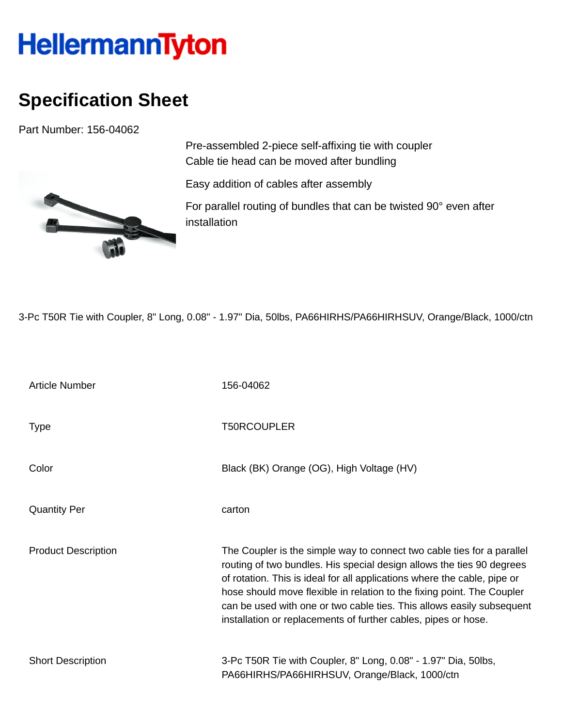## **HellermannTyton**

## **Specification Sheet**

Part Number: 156-04062



Pre-assembled 2-piece self-affixing tie with coupler Cable tie head can be moved after bundling

Easy addition of cables after assembly

For parallel routing of bundles that can be twisted 90° even after installation

3-Pc T50R Tie with Coupler, 8" Long, 0.08" - 1.97" Dia, 50lbs, PA66HIRHS/PA66HIRHSUV, Orange/Black, 1000/ctn

| <b>Article Number</b>      | 156-04062                                                                                                                                                                                                                                                                                                                                                                                                                                        |
|----------------------------|--------------------------------------------------------------------------------------------------------------------------------------------------------------------------------------------------------------------------------------------------------------------------------------------------------------------------------------------------------------------------------------------------------------------------------------------------|
| <b>Type</b>                | <b>T50RCOUPLER</b>                                                                                                                                                                                                                                                                                                                                                                                                                               |
| Color                      | Black (BK) Orange (OG), High Voltage (HV)                                                                                                                                                                                                                                                                                                                                                                                                        |
| <b>Quantity Per</b>        | carton                                                                                                                                                                                                                                                                                                                                                                                                                                           |
| <b>Product Description</b> | The Coupler is the simple way to connect two cable ties for a parallel<br>routing of two bundles. His special design allows the ties 90 degrees<br>of rotation. This is ideal for all applications where the cable, pipe or<br>hose should move flexible in relation to the fixing point. The Coupler<br>can be used with one or two cable ties. This allows easily subsequent<br>installation or replacements of further cables, pipes or hose. |
| <b>Short Description</b>   | 3-Pc T50R Tie with Coupler, 8" Long, 0.08" - 1.97" Dia, 50lbs,<br>PA66HIRHS/PA66HIRHSUV, Orange/Black, 1000/ctn                                                                                                                                                                                                                                                                                                                                  |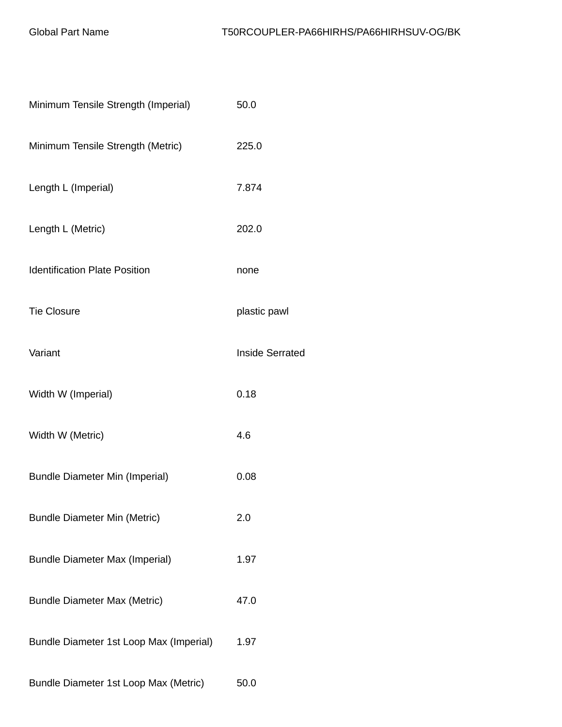| Minimum Tensile Strength (Imperial)     | 50.0                   |
|-----------------------------------------|------------------------|
| Minimum Tensile Strength (Metric)       | 225.0                  |
| Length L (Imperial)                     | 7.874                  |
| Length L (Metric)                       | 202.0                  |
| <b>Identification Plate Position</b>    | none                   |
| <b>Tie Closure</b>                      | plastic pawl           |
| Variant                                 | <b>Inside Serrated</b> |
| Width W (Imperial)                      | 0.18                   |
| Width W (Metric)                        | 4.6                    |
| <b>Bundle Diameter Min (Imperial)</b>   | 0.08                   |
| <b>Bundle Diameter Min (Metric)</b>     | 2.0                    |
| <b>Bundle Diameter Max (Imperial)</b>   | 1.97                   |
| <b>Bundle Diameter Max (Metric)</b>     | 47.0                   |
| Bundle Diameter 1st Loop Max (Imperial) | 1.97                   |
| Bundle Diameter 1st Loop Max (Metric)   | 50.0                   |